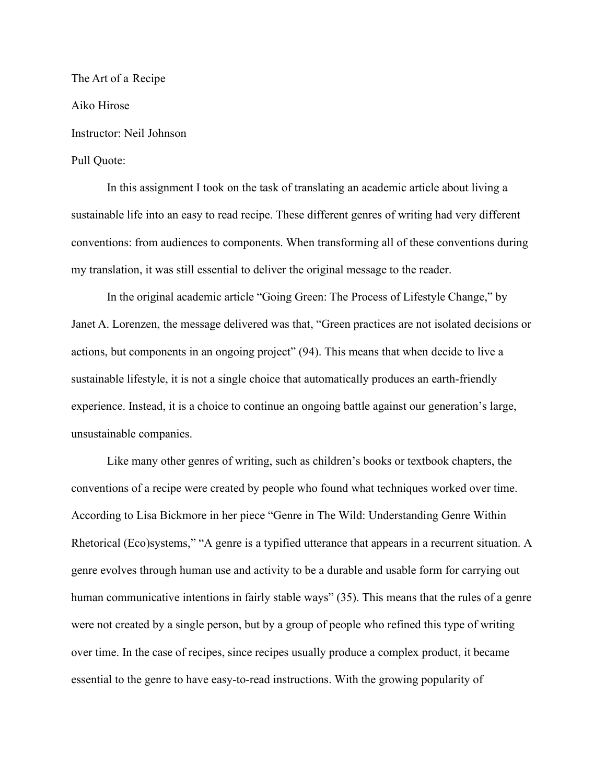The Art of a Recipe Aiko Hirose Instructor: Neil Johnson Pull Quote:

In this assignment I took on the task of translating an academic article about living a sustainable life into an easy to read recipe. These different genres of writing had very different conventions: from audiences to components. When transforming all of these conventions during my translation, it was still essential to deliver the original message to the reader.

In the original academic article "Going Green: The Process of Lifestyle Change," by Janet A. Lorenzen, the message delivered was that, "Green practices are not isolated decisions or actions, but components in an ongoing project" (94). This means that when decide to live a sustainable lifestyle, it is not a single choice that automatically produces an earth-friendly experience. Instead, it is a choice to continue an ongoing battle against our generation's large, unsustainable companies.

Like many other genres of writing, such as children's books or textbook chapters, the conventions of a recipe were created by people who found what techniques worked over time. According to Lisa Bickmore in her piece "Genre in The Wild: Understanding Genre Within Rhetorical (Eco)systems," "A genre is a typified utterance that appears in a recurrent situation. A genre evolves through human use and activity to be a durable and usable form for carrying out human communicative intentions in fairly stable ways" (35). This means that the rules of a genre were not created by a single person, but by a group of people who refined this type of writing over time. In the case of recipes, since recipes usually produce a complex product, it became essential to the genre to have easy-to-read instructions. With the growing popularity of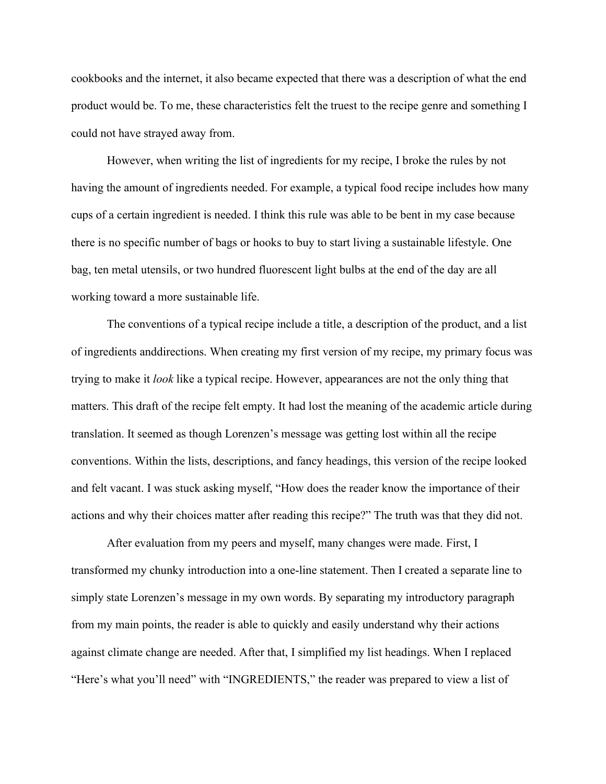cookbooks and the internet, it also became expected that there was a description of what the end product would be. To me, these characteristics felt the truest to the recipe genre and something I could not have strayed away from.

However, when writing the list of ingredients for my recipe, I broke the rules by not having the amount of ingredients needed. For example, a typical food recipe includes how many cups of a certain ingredient is needed. I think this rule was able to be bent in my case because there is no specific number of bags or hooks to buy to start living a sustainable lifestyle. One bag, ten metal utensils, or two hundred fluorescent light bulbs at the end of the day are all working toward a more sustainable life.

The conventions of a typical recipe include a title, a description of the product, and a list of ingredients anddirections. When creating my first version of my recipe, my primary focus was trying to make it *look* like a typical recipe. However, appearances are not the only thing that matters. This draft of the recipe felt empty. It had lost the meaning of the academic article during translation. It seemed as though Lorenzen's message was getting lost within all the recipe conventions. Within the lists, descriptions, and fancy headings, this version of the recipe looked and felt vacant. I was stuck asking myself, "How does the reader know the importance of their actions and why their choices matter after reading this recipe?" The truth was that they did not.

After evaluation from my peers and myself, many changes were made. First, I transformed my chunky introduction into a one-line statement. Then I created a separate line to simply state Lorenzen's message in my own words. By separating my introductory paragraph from my main points, the reader is able to quickly and easily understand why their actions against climate change are needed. After that, I simplified my list headings. When I replaced "Here's what you'll need" with "INGREDIENTS," the reader was prepared to view a list of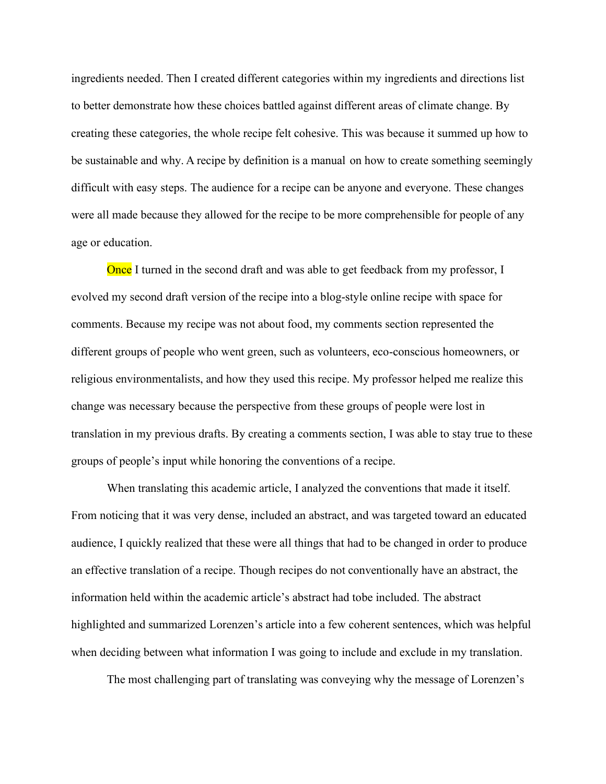ingredients needed. Then I created different categories within my ingredients and directions list to better demonstrate how these choices battled against different areas of climate change. By creating these categories, the whole recipe felt cohesive. This was because it summed up how to be sustainable and why. A recipe by definition is a manual on how to create something seemingly difficult with easy steps. The audience for a recipe can be anyone and everyone. These changes were all made because they allowed for the recipe to be more comprehensible for people of any age or education.

Once I turned in the second draft and was able to get feedback from my professor, I evolved my second draft version of the recipe into a blog-style online recipe with space for comments. Because my recipe was not about food, my comments section represented the different groups of people who went green, such as volunteers, eco-conscious homeowners, or religious environmentalists, and how they used this recipe. My professor helped me realize this change was necessary because the perspective from these groups of people were lost in translation in my previous drafts. By creating a comments section, I was able to stay true to these groups of people's input while honoring the conventions of a recipe.

When translating this academic article, I analyzed the conventions that made it itself. From noticing that it was very dense, included an abstract, and was targeted toward an educated audience, I quickly realized that these were all things that had to be changed in order to produce an effective translation of a recipe. Though recipes do not conventionally have an abstract, the information held within the academic article's abstract had to be included. The abstract highlighted and summarized Lorenzen's article into a few coherent sentences, which was helpful when deciding between what information I was going to include and exclude in my translation.

The most challenging part of translating was conveying why the message of Lorenzen's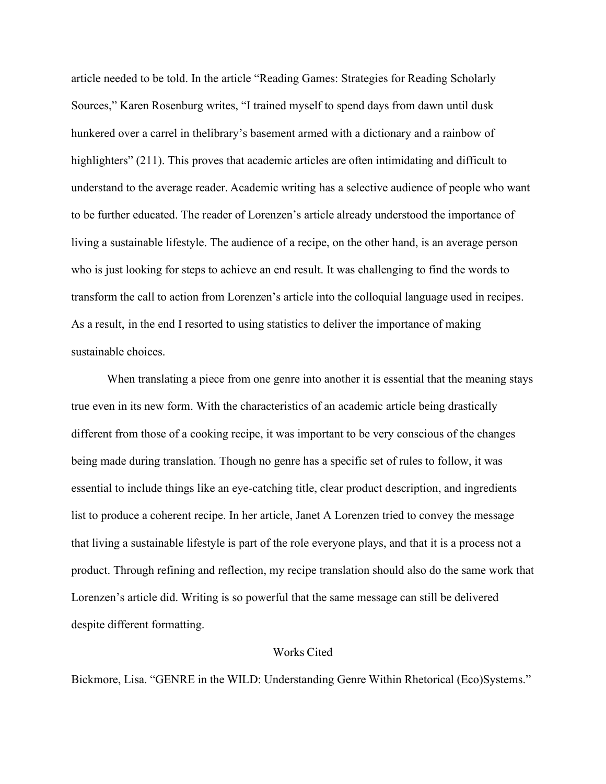article needed to be told. In the article "Reading Games: Strategies for Reading Scholarly Sources," Karen Rosenburg writes, "I trained myself to spend days from dawn until dusk hunkered over a carrel in thelibrary's basement armed with a dictionary and a rainbow of highlighters" (211). This proves that academic articles are often intimidating and difficult to understand to the average reader. Academic writing has a selective audience of people who want to be further educated. The reader of Lorenzen's article already understood the importance of living a sustainable lifestyle. The audience of a recipe, on the other hand, is an average person who is just looking for steps to achieve an end result. It was challenging to find the words to transform the call to action from Lorenzen's article into the colloquial language used in recipes. As a result, in the end I resorted to using statistics to deliver the importance of making sustainable choices.

When translating a piece from one genre into another it is essential that the meaning stays true even in its new form. With the characteristics of an academic article being drastically different from those of a cooking recipe, it was important to be very conscious of the changes being made during translation. Though no genre has a specific set of rules to follow, it was essential to include things like an eye-catching title, clear product description, and ingredients list to produce a coherent recipe. In her article, Janet A Lorenzen tried to convey the message that living a sustainable lifestyle is part of the role everyone plays, and that it is a process not a product. Through refining and reflection, my recipe translation should also do the same work that Lorenzen's article did. Writing is so powerful that the same message can still be delivered despite different formatting.

## Works Cited

Bickmore, Lisa. "GENRE in the WILD: Understanding Genre Within Rhetorical (Eco)Systems."